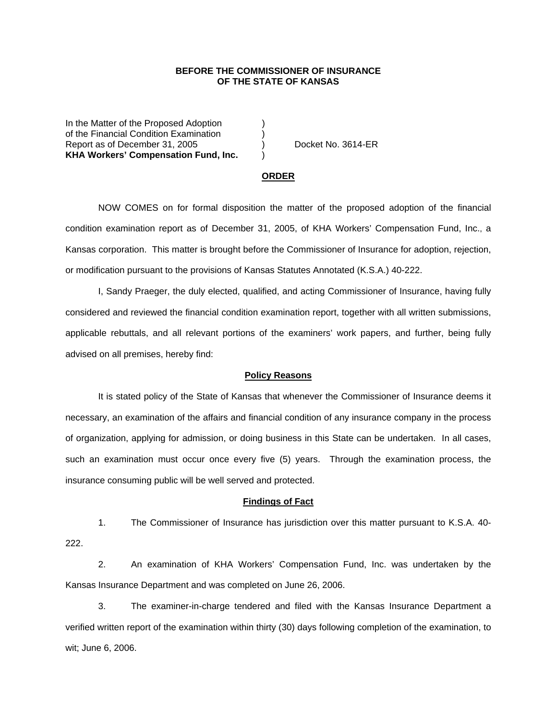## **BEFORE THE COMMISSIONER OF INSURANCE OF THE STATE OF KANSAS**

In the Matter of the Proposed Adoption of the Financial Condition Examination ) Report as of December 31, 2005 (and Separate No. 3614-ER **KHA Workers' Compensation Fund, Inc.** )

#### **ORDER**

 NOW COMES on for formal disposition the matter of the proposed adoption of the financial condition examination report as of December 31, 2005, of KHA Workers' Compensation Fund, Inc., a Kansas corporation. This matter is brought before the Commissioner of Insurance for adoption, rejection, or modification pursuant to the provisions of Kansas Statutes Annotated (K.S.A.) 40-222.

 I, Sandy Praeger, the duly elected, qualified, and acting Commissioner of Insurance, having fully considered and reviewed the financial condition examination report, together with all written submissions, applicable rebuttals, and all relevant portions of the examiners' work papers, and further, being fully advised on all premises, hereby find:

### **Policy Reasons**

 It is stated policy of the State of Kansas that whenever the Commissioner of Insurance deems it necessary, an examination of the affairs and financial condition of any insurance company in the process of organization, applying for admission, or doing business in this State can be undertaken. In all cases, such an examination must occur once every five (5) years. Through the examination process, the insurance consuming public will be well served and protected.

#### **Findings of Fact**

 1. The Commissioner of Insurance has jurisdiction over this matter pursuant to K.S.A. 40- 222.

 2. An examination of KHA Workers' Compensation Fund, Inc. was undertaken by the Kansas Insurance Department and was completed on June 26, 2006.

 3. The examiner-in-charge tendered and filed with the Kansas Insurance Department a verified written report of the examination within thirty (30) days following completion of the examination, to wit; June 6, 2006.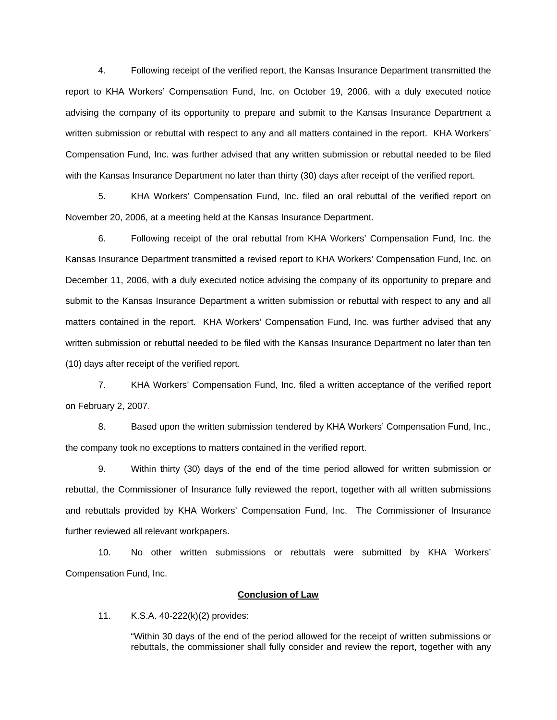4. Following receipt of the verified report, the Kansas Insurance Department transmitted the report to KHA Workers' Compensation Fund, Inc. on October 19, 2006, with a duly executed notice advising the company of its opportunity to prepare and submit to the Kansas Insurance Department a written submission or rebuttal with respect to any and all matters contained in the report. KHA Workers' Compensation Fund, Inc. was further advised that any written submission or rebuttal needed to be filed with the Kansas Insurance Department no later than thirty (30) days after receipt of the verified report.

 5. KHA Workers' Compensation Fund, Inc. filed an oral rebuttal of the verified report on November 20, 2006, at a meeting held at the Kansas Insurance Department.

 6. Following receipt of the oral rebuttal from KHA Workers' Compensation Fund, Inc. the Kansas Insurance Department transmitted a revised report to KHA Workers' Compensation Fund, Inc. on December 11, 2006, with a duly executed notice advising the company of its opportunity to prepare and submit to the Kansas Insurance Department a written submission or rebuttal with respect to any and all matters contained in the report. KHA Workers' Compensation Fund, Inc. was further advised that any written submission or rebuttal needed to be filed with the Kansas Insurance Department no later than ten (10) days after receipt of the verified report.

 7. KHA Workers' Compensation Fund, Inc. filed a written acceptance of the verified report on February 2, 2007.

8. Based upon the written submission tendered by KHA Workers' Compensation Fund, Inc., the company took no exceptions to matters contained in the verified report.

 9. Within thirty (30) days of the end of the time period allowed for written submission or rebuttal, the Commissioner of Insurance fully reviewed the report, together with all written submissions and rebuttals provided by KHA Workers' Compensation Fund, Inc. The Commissioner of Insurance further reviewed all relevant workpapers.

 10. No other written submissions or rebuttals were submitted by KHA Workers' Compensation Fund, Inc.

## **Conclusion of Law**

11. K.S.A. 40-222(k)(2) provides:

"Within 30 days of the end of the period allowed for the receipt of written submissions or rebuttals, the commissioner shall fully consider and review the report, together with any